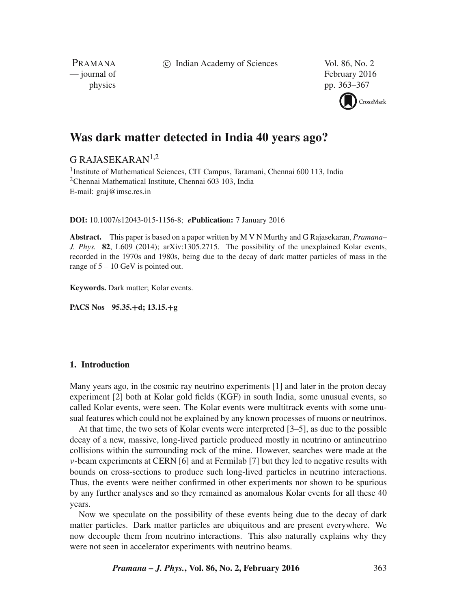c Indian Academy of Sciences Vol. 86, No. 2

PRAMANA

— journal of February 2016 physics pp. 363–367

CrossMark

# **Was dark matter detected in India 40 years ago?**

# G RAJASEKARAN $1,2$

<sup>1</sup> Institute of Mathematical Sciences, CIT Campus, Taramani, Chennai 600 113, India <sup>2</sup>Chennai Mathematical Institute, Chennai 603 103, India E-mail: graj@imsc.res.in

**DOI:** 10.1007/s12043-015-1156-8; *e***Publication:** 7 January 2016

**Abstract.** This paper is based on a paper written by M V N Murthy and G Rajasekaran, *Pramana– J. Phys.* **82**, L609 (2014); arXiv:1305.2715. The possibility of the unexplained Kolar events, recorded in the 1970s and 1980s, being due to the decay of dark matter particles of mass in the range of  $5 - 10$  GeV is pointed out.

**Keywords.** Dark matter; Kolar events.

**PACS Nos 95.35.**+**d; 13.15.**+**g**

# **1. Introduction**

Many years ago, in the cosmic ray neutrino experiments [1] and later in the proton decay experiment [2] both at Kolar gold fields (KGF) in south India, some unusual events, so called Kolar events, were seen. The Kolar events were multitrack events with some unusual features which could not be explained by any known processes of muons or neutrinos.

At that time, the two sets of Kolar events were interpreted [3–5], as due to the possible decay of a new, massive, long-lived particle produced mostly in neutrino or antineutrino collisions within the surrounding rock of the mine. However, searches were made at the  $\nu$ -beam experiments at CERN [6] and at Fermilab [7] but they led to negative results with bounds on cross-sections to produce such long-lived particles in neutrino interactions. Thus, the events were neither confirmed in other experiments nor shown to be spurious by any further analyses and so they remained as anomalous Kolar events for all these 40 years.

Now we speculate on the possibility of these events being due to the decay of dark matter particles. Dark matter particles are ubiquitous and are present everywhere. We now decouple them from neutrino interactions. This also naturally explains why they were not seen in accelerator experiments with neutrino beams.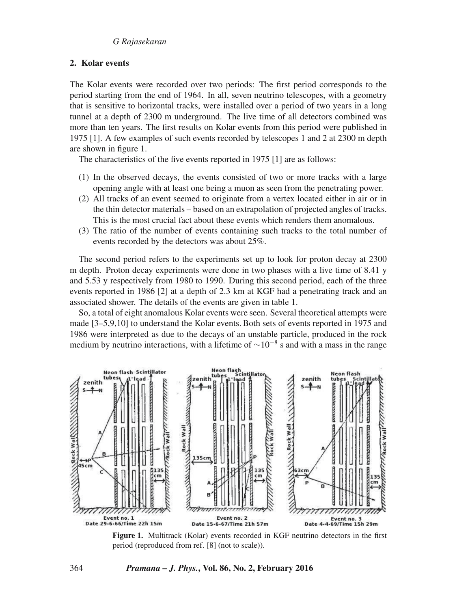# **2. Kolar events**

The Kolar events were recorded over two periods: The first period corresponds to the period starting from the end of 1964. In all, seven neutrino telescopes, with a geometry that is sensitive to horizontal tracks, were installed over a period of two years in a long tunnel at a depth of 2300 m underground. The live time of all detectors combined was more than ten years. The first results on Kolar events from this period were published in 1975 [1]. A few examples of such events recorded by telescopes 1 and 2 at 2300 m depth are shown in figure 1.

The characteristics of the five events reported in 1975 [1] are as follows:

- (1) In the observed decays, the events consisted of two or more tracks with a large opening angle with at least one being a muon as seen from the penetrating power.
- (2) All tracks of an event seemed to originate from a vertex located either in air or in the thin detector materials – based on an extrapolation of projected angles of tracks. This is the most crucial fact about these events which renders them anomalous.
- (3) The ratio of the number of events containing such tracks to the total number of events recorded by the detectors was about 25%.

The second period refers to the experiments set up to look for proton decay at 2300 m depth. Proton decay experiments were done in two phases with a live time of 8.41 y and 5.53 y respectively from 1980 to 1990. During this second period, each of the three events reported in 1986 [2] at a depth of 2.3 km at KGF had a penetrating track and an associated shower. The details of the events are given in table 1.

So, a total of eight anomalous Kolar events were seen. Several theoretical attempts were made [3–5,9,10] to understand the Kolar events. Both sets of events reported in 1975 and 1986 were interpreted as due to the decays of an unstable particle, produced in the rock medium by neutrino interactions, with a lifetime of  $\sim 10^{-8}$  s and with a mass in the range



**Figure 1.** Multitrack (Kolar) events recorded in KGF neutrino detectors in the first period (reproduced from ref. [8] (not to scale)).

#### 364 *Pramana – J. Phys.***, Vol. 86, No. 2, February 2016**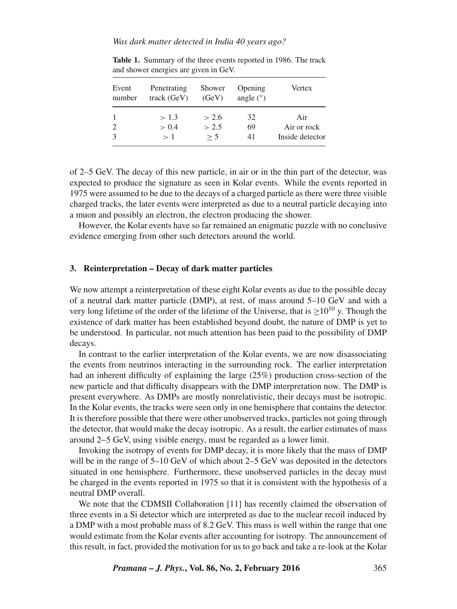*Was dark matter detected in India 40 years ago?*

| Event<br>number | Penetrating<br>track(GeV) | Shower<br>(GeV) | Opening<br>angle $(°)$ | Vertex          |
|-----------------|---------------------------|-----------------|------------------------|-----------------|
|                 | > 1.3                     | > 2.6           | 32                     | Air             |
| $\mathcal{L}$   | > 0.4                     | > 2.5           | 69                     | Air or rock     |
| $\mathcal{R}$   | $\geq 1$                  | > 5             | 41                     | Inside detector |

**Table 1.** Summary of the three events reported in 1986. The track and shower energies are given in GeV.

of 2–5 GeV. The decay of this new particle, in air or in the thin part of the detector, was expected to produce the signature as seen in Kolar events. While the events reported in 1975 were assumed to be due to the decays of a charged particle as there were three visible charged tracks, the later events were interpreted as due to a neutral particle decaying into a muon and possibly an electron, the electron producing the shower.

However, the Kolar events have so far remained an enigmatic puzzle with no conclusive evidence emerging from other such detectors around the world.

# **3. Reinterpretation – Decay of dark matter particles**

We now attempt a reinterpretation of these eight Kolar events as due to the possible decay of a neutral dark matter particle (DMP), at rest, of mass around 5–10 GeV and with a very long lifetime of the order of the lifetime of the Universe, that is  $>10^{10}$  y. Though the existence of dark matter has been established beyond doubt, the nature of DMP is yet to be understood. In particular, not much attention has been paid to the possibility of DMP decays.

In contrast to the earlier interpretation of the Kolar events, we are now disassociating the events from neutrinos interacting in the surrounding rock. The earlier interpretation had an inherent difficulty of explaining the large (25%) production cross-section of the new particle and that difficulty disappears with the DMP interpretation now. The DMP is present everywhere. As DMPs are mostly nonrelativistic, their decays must be isotropic. In the Kolar events, the tracks were seen only in one hemisphere that contains the detector. It is therefore possible that there were other unobserved tracks, particles not going through the detector, that would make the decay isotropic. As a result, the earlier estimates of mass around 2−5 GeV, using visible energy, must be regarded as a lower limit.

Invoking the isotropy of events for DMP decay, it is more likely that the mass of DMP will be in the range of 5–10 GeV of which about 2–5 GeV was deposited in the detectors situated in one hemisphere. Furthermore, these unobserved particles in the decay must be charged in the events reported in 1975 so that it is consistent with the hypothesis of a neutral DMP overall.

We note that the CDMSII Collaboration [11] has recently claimed the observation of three events in a Si detector which are interpreted as due to the nuclear recoil induced by a DMP with a most probable mass of 8.2 GeV. This mass is well within the range that one would estimate from the Kolar events after accounting for isotropy. The announcement of this result, in fact, provided the motivation for us to go back and take a re-look at the Kolar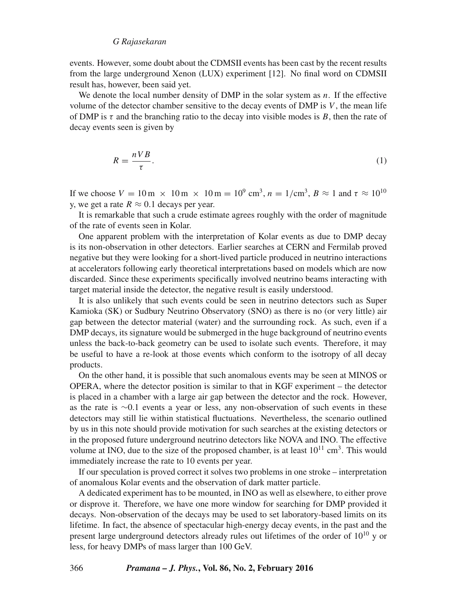# *G Rajasekaran*

events. However, some doubt about the CDMSII events has been cast by the recent results from the large underground Xenon (LUX) experiment [12]. No final word on CDMSII result has, however, been said yet.

We denote the local number density of DMP in the solar system as  $n$ . If the effective volume of the detector chamber sensitive to the decay events of DMP is  $V$ , the mean life of DMP is  $\tau$  and the branching ratio to the decay into visible modes is B, then the rate of decay events seen is given by

$$
R = \frac{nVB}{\tau}.\tag{1}
$$

If we choose  $V = 10 \text{ m } \times 10 \text{ m } \times 10 \text{ m} = 10^9 \text{ cm}^3$ ,  $n = 1/\text{cm}^3$ ,  $B \approx 1$  and  $\tau \approx 10^{10}$ y, we get a rate  $R \approx 0.1$  decays per year.

It is remarkable that such a crude estimate agrees roughly with the order of magnitude of the rate of events seen in Kolar.

One apparent problem with the interpretation of Kolar events as due to DMP decay is its non-observation in other detectors. Earlier searches at CERN and Fermilab proved negative but they were looking for a short-lived particle produced in neutrino interactions at accelerators following early theoretical interpretations based on models which are now discarded. Since these experiments specifically involved neutrino beams interacting with target material inside the detector, the negative result is easily understood.

It is also unlikely that such events could be seen in neutrino detectors such as Super Kamioka (SK) or Sudbury Neutrino Observatory (SNO) as there is no (or very little) air gap between the detector material (water) and the surrounding rock. As such, even if a DMP decays, its signature would be submerged in the huge background of neutrino events unless the back-to-back geometry can be used to isolate such events. Therefore, it may be useful to have a re-look at those events which conform to the isotropy of all decay products.

On the other hand, it is possible that such anomalous events may be seen at MINOS or OPERA, where the detector position is similar to that in KGF experiment – the detector is placed in a chamber with a large air gap between the detector and the rock. However, as the rate is ∼0.1 events a year or less, any non-observation of such events in these detectors may still lie within statistical fluctuations. Nevertheless, the scenario outlined by us in this note should provide motivation for such searches at the existing detectors or in the proposed future underground neutrino detectors like NOVA and INO. The effective volume at INO, due to the size of the proposed chamber, is at least  $10^{11}$  cm<sup>3</sup>. This would immediately increase the rate to 10 events per year.

If our speculation is proved correct it solves two problems in one stroke – interpretation of anomalous Kolar events and the observation of dark matter particle.

A dedicated experiment has to be mounted, in INO as well as elsewhere, to either prove or disprove it. Therefore, we have one more window for searching for DMP provided it decays. Non-observation of the decays may be used to set laboratory-based limits on its lifetime. In fact, the absence of spectacular high-energy decay events, in the past and the present large underground detectors already rules out lifetimes of the order of  $10^{10}$  y or less, for heavy DMPs of mass larger than 100 GeV.